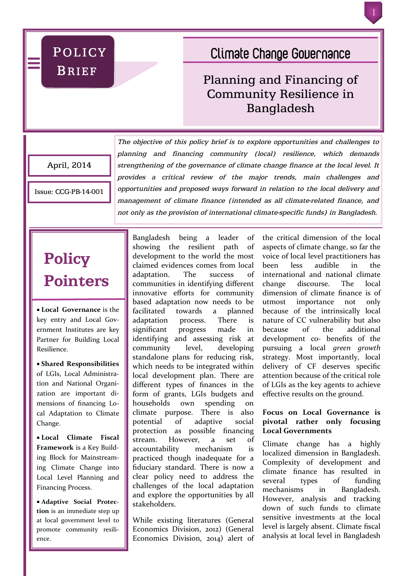POLICY **BRIEF** 

# **Climate Change Governance**

# Planning and Financing of Community Resilience in Bangladesh

April, 2014

Issue: CCG-PB-14-001

*The objective of this policy brief is to explore opportunities and challenges to planning and financing community (local) resilience, which demands strengthening of the governance of climate change finance at the local level. It provides a critical review of the major trends, main challenges and opportunities and proposed ways forward in relation to the local delivery and management of climate finance (intended as all climate-related finance, and not only as the provision of international climate-specific funds) in Bangladesh.*

# **Policy Pointers**

 **Local Governance** is the key entry and Local Government Institutes are key Partner for Building Local Resilience.

 **Shared Responsibilities** of LGIs, Local Administration and National Organization are important dimensions of financing Local Adaptation to Climate Change.

 **Local Climate Fiscal Framework** is a Key Building Block for Mainstreaming Climate Change into Local Level Planning and Financing Process.

 **Adaptive Social Protection** is an immediate step up at local government level to promote community resilience.

Bangladesh being a leader of showing the resilient path of development to the world the most claimed evidences comes from local adaptation. The success of communities in identifying different innovative efforts for community based adaptation now needs to be facilitated towards a planned adaptation process. There is significant progress made in identifying and assessing risk at community level, developing standalone plans for reducing risk, which needs to be integrated within local development plan. There are different types of finances in the form of grants, LGIs budgets and households own spending on climate purpose. There is also potential of adaptive social protection as possible financing stream. However, a set of accountability mechanism is practiced though inadequate for a fiduciary standard. There is now a clear policy need to address the challenges of the local adaptation and explore the opportunities by all stakeholders.

While existing literatures (General Economics Division, 2012) (General Economics Division, 2014) alert of the critical dimension of the local aspects of climate change, so far the voice of local level practitioners has been less audible in the international and national climate change discourse. The local dimension of climate finance is of utmost importance not only because of the intrinsically local nature of CC vulnerability but also because of the additional development co- benefits of the pursuing a local *green growth* strategy. Most importantly, local delivery of CF deserves specific attention because of the critical role of LGIs as the key agents to achieve effective results on the ground.

## **Focus on Local Governance is pivotal rather only focusing Local Governments**

Climate change has a highly localized dimension in Bangladesh. Complexity of development and climate finance has resulted in several types of funding mechanisms in Bangladesh. However, analysis and tracking down of such funds to climate sensitive investments at the local level is largely absent. Climate fiscal analysis at local level in Bangladesh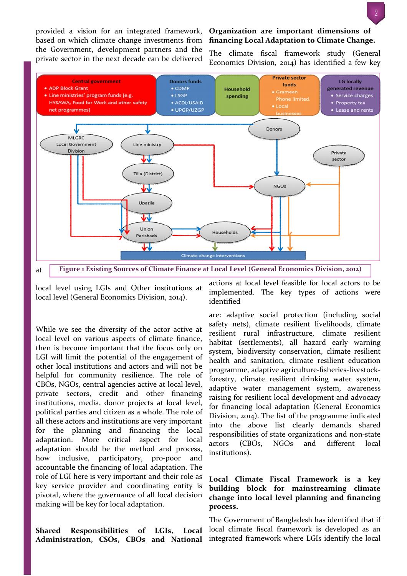provided a vision for an integrated framework, based on which climate change investments from the Government, development partners and the private sector in the next decade can be delivered

#### **Organization are important dimensions of financing Local Adaptation to Climate Change.**

The climate fiscal framework study (General Economics Division, 2014) has identified a few key



local level using LGIs and Other institutions at local level (General Economics Division, 2014).

While we see the diversity of the actor active at local level on various aspects of climate finance, then is become important that the focus only on LGI will limit the potential of the engagement of other local institutions and actors and will not be helpful for community resilience. The role of CBOs, NGOs, central agencies active at local level, private sectors, credit and other financing institutions, media, donor projects at local level, political parties and citizen as a whole. The role of all these actors and institutions are very important for the planning and financing the local adaptation. More critical aspect for local adaptation should be the method and process, how inclusive, participatory, pro-poor and accountable the financing of local adaptation. The role of LGI here is very important and their role as key service provider and coordinating entity is pivotal, where the governance of all local decision making will be key for local adaptation.

**Shared Responsibilities of LGIs, Local Administration, CSOs, CBOs and National**  actions at local level feasible for local actors to be implemented. The key types of actions were identified

are: adaptive social protection (including social safety nets), climate resilient livelihoods, climate resilient rural infrastructure, climate resilient habitat (settlements), all hazard early warning system, biodiversity conservation, climate resilient health and sanitation, climate resilient education programme, adaptive agriculture-fisheries-livestockforestry, climate resilient drinking water system, adaptive water management system, awareness raising for resilient local development and advocacy for financing local adaptation (General Economics Division, 2014). The list of the programme indicated into the above list clearly demands shared responsibilities of state organizations and non-state actors (CBOs, NGOs and different local institutions).

### **Local Climate Fiscal Framework is a key building block for mainstreaming climate change into local level planning and financing process.**

The Government of Bangladesh has identified that if local climate fiscal framework is developed as an integrated framework where LGIs identify the local

2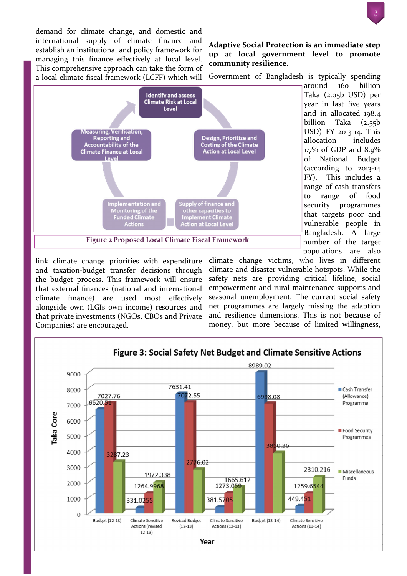demand for climate change, and domestic and international supply of climate finance and establish an institutional and policy framework for managing this finance effectively at local level. This comprehensive approach can take the form of a local climate fiscal framework (LCFF) which will



Government of Bangladesh is typically spending



Taka (2.05b USD) per year in last five years and in allocated 198.4 billion Taka (2.55b USD) FY 2013-14. This allocation includes  $1.7\%$  of GDP and  $8.9\%$ of National Budget (according to 2013-14 FY). This includes a range of cash transfers to range of food security programmes that targets poor and vulnerable people in Bangladesh. A large number of the target populations are also

around 160 billion

link climate change priorities with expenditure and taxation-budget transfer decisions through the budget process. This framework will ensure that external finances (national and international climate finance) are used most effectively alongside own (LGIs own income) resources and that private investments (NGOs, CBOs and Private Companies) are encouraged.

climate change victims, who lives in different climate and disaster vulnerable hotspots. While the safety nets are providing critical lifeline, social empowerment and rural maintenance supports and seasonal unemployment. The current social safety net programmes are largely missing the adaption and resilience dimensions. This is not because of money, but more because of limited willingness,